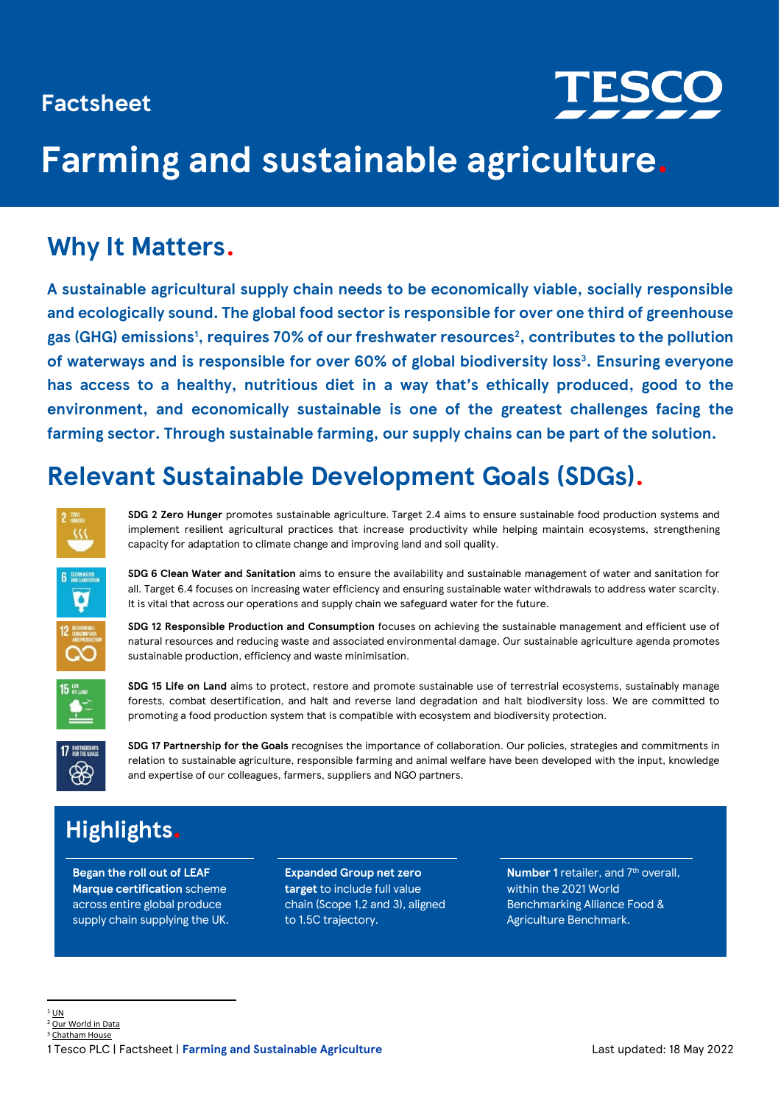# **Factsheet**



# **Farming and sustainable agriculture.**

# **Why It Matters.**

**A sustainable agricultural supply chain needs to be economically viable, socially responsible and ecologically sound. The global food sector is responsible for over one third of greenhouse gas (GHG) emissions<sup>1</sup> , requires 70% of our freshwater resources<sup>2</sup> , contributes to the pollution of waterways and is responsible for over 60% of global biodiversity loss<sup>3</sup> . Ensuring everyone has access to a healthy, nutritious diet in a way that's ethically produced, good to the environment, and economically sustainable is one of the greatest challenges facing the farming sector. Through sustainable farming, our supply chains can be part of the solution.** 

# **Relevant Sustainable Development Goals (SDGs).**



**SDG 2 Zero Hunger** promotes sustainable agriculture. Target 2.4 aims to ensure sustainable food production systems and implement resilient agricultural practices that increase productivity while helping maintain ecosystems, strengthening capacity for adaptation to climate change and improving land and soil quality.



**SDG 6 Clean Water and Sanitation** aims to ensure the availability and sustainable management of water and sanitation for all. Target 6.4 focuses on increasing water efficiency and ensuring sustainable water withdrawals to address water scarcity. It is vital that across our operations and supply chain we safeguard water for the future.

**SDG 12 Responsible Production and Consumption** focuses on achieving the sustainable management and efficient use of natural resources and reducing waste and associated environmental damage. Our sustainable agriculture agenda promotes sustainable production, efficiency and waste minimisation.



**SDG 15 Life on Land** aims to protect, restore and promote sustainable use of terrestrial ecosystems, sustainably manage forests, combat desertification, and halt and reverse land degradation and halt biodiversity loss. We are committed to promoting a food production system that is compatible with ecosystem and biodiversity protection.



**SDG 17 Partnership for the Goals** recognises the importance of collaboration. Our policies, strategies and commitments in relation to sustainable agriculture, responsible farming and animal welfare have been developed with the input, knowledge and expertise of our colleagues, farmers, suppliers and NGO partners.

# **Highlights.**

**Began the roll out of LEAF Marque certification** scheme across entire global produce supply chain supplying the UK.

**Expanded Group net zero target** to include full value chain (Scope 1,2 and 3), aligned to 1.5C trajectory.

**Number 1** retailer, and 7<sup>th</sup> overall, within the 2021 World Benchmarking Alliance Food & Agriculture Benchmark.

<sup>2</sup> [Our World in Data](https://ourworldindata.org/environmental-impacts-of-food) <sup>3</sup> [Chatham House](https://www.chathamhouse.org/sites/default/files/2021-02/2021-02-03-food-system-biodiversity-loss-benton-et-al_0.pdf)

 $1$  [UN](https://news.un.org/en/story/2021/03/1086822)

<sup>1</sup> Tesco PLC | Factsheet | **Farming and Sustainable Agriculture** Last updated: 18 May 2022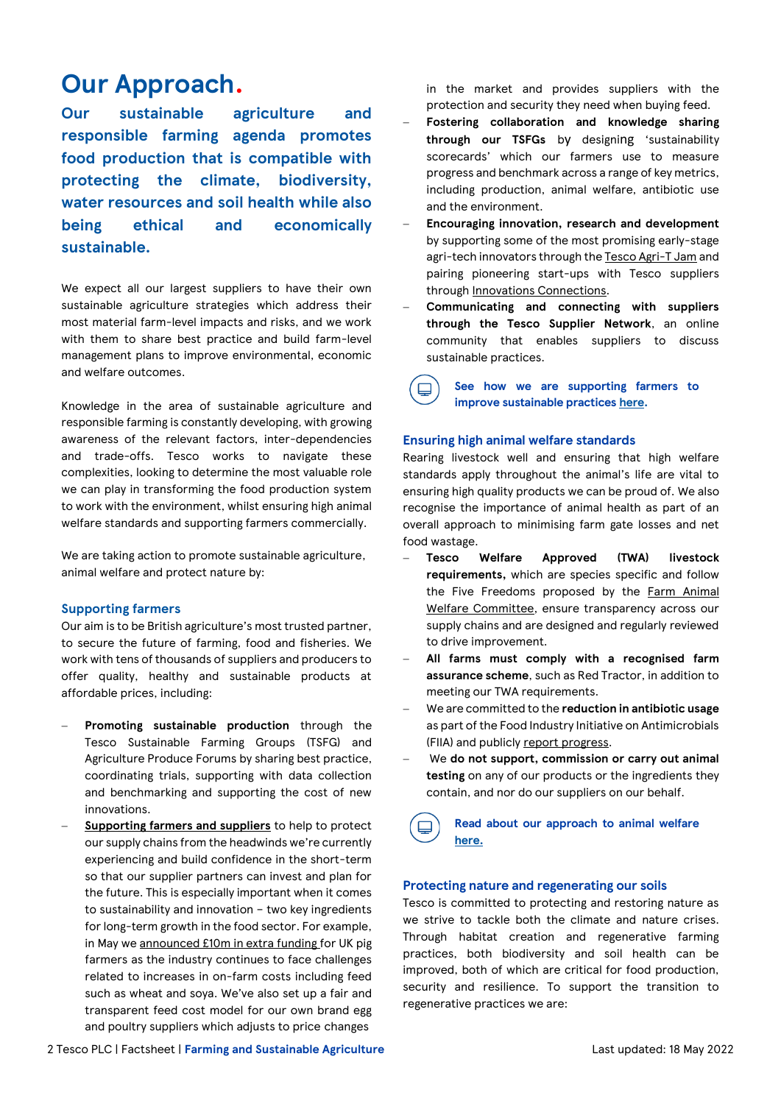# **Our Approach.**

**Our sustainable agriculture and responsible farming agenda promotes food production that is compatible with protecting the climate, biodiversity, water resources and soil health while also being ethical and economically sustainable.**

We expect all our largest suppliers to have their own sustainable agriculture strategies which address their most material farm-level impacts and risks, and we work with them to share best practice and build farm-level management plans to improve environmental, economic and welfare outcomes.

Knowledge in the area of sustainable agriculture and responsible farming is constantly developing, with growing awareness of the relevant factors, inter-dependencies and trade-offs. Tesco works to navigate these complexities, looking to determine the most valuable role we can play in transforming the food production system to work with the environment, whilst ensuring high animal welfare standards and supporting farmers commercially.

We are taking action to promote sustainable agriculture, animal welfare and protect nature by:

#### **Supporting farmers**

Our aim is to be British agriculture's most trusted partner, to secure the future of farming, food and fisheries. We work with tens of thousands of suppliers and producers to offer quality, healthy and sustainable products at affordable prices, including:

- **Promoting sustainable production** through the Tesco Sustainable Farming Groups (TSFG) and Agriculture Produce Forums by sharing best practice, coordinating trials, supporting with data collection and benchmarking and supporting the cost of new innovations.
- − **[Supporting farmers and suppliers](https://www.tescoplc.com/blog/supporting-our-farmers-and-suppliers/)** to help to protect our supply chains from the headwinds we're currently experiencing and build confidence in the short-term so that our supplier partners can invest and plan for the future. This is especially important when it comes to sustainability and innovation – two key ingredients for long-term growth in the food sector. For example, in May w[e announced £10m in extra funding](https://www.tescoplc.com/news/2022/tesco-announces-10m-support-for-uk-pig-industry/) for UK pig farmers as the industry continues to face challenges related to increases in on-farm costs including feed such as wheat and soya. We've also set up a fair and transparent feed cost model for our own brand egg and poultry suppliers which adjusts to price changes

in the market and provides suppliers with the protection and security they need when buying feed.

- − **Fostering collaboration and knowledge sharing through our TSFGs** by designing 'sustainability scorecards' which our farmers use to measure progress and benchmark across a range of key metrics, including production, animal welfare, antibiotic use and the environment.
- − **Encouraging innovation, research and development**  by supporting some of the most promising early-stage agri-tech innovators through th[e Tesco Agri-T Jam](https://worldagritechinnovation.com/tesco-agri-t-jam-2021/) and pairing pioneering start-ups with Tesco suppliers through [Innovations Connections.](https://www.tescoplc.com/news/2022/tesco-opens-up-supply-chain-to-sustainability-start-ups/)
- − **Communicating and connecting with suppliers through the Tesco Supplier Network**, an online community that enables suppliers to discuss sustainable practices.

 $\Box$ 

**See how we are supporting farmers to improve sustainable practices [here.](https://www.tescoplc.com/sustainability/planet/farming-agriculture/)**

#### **Ensuring high animal welfare standards**

Rearing livestock well and ensuring that high welfare standards apply throughout the animal's life are vital to ensuring high quality products we can be proud of. We also recognise the importance of animal health as part of an overall approach to minimising farm gate losses and net food wastage.

- − **Tesco Welfare Approved (TWA) livestock requirements,** which are species specific and follow the Five Freedoms proposed by the Farm Animal [Welfare Committee,](https://www.gov.uk/government/groups/farm-animal-welfare-committee-fawc) ensure transparency across our supply chains and are designed and regularly reviewed to drive improvement.
- − **All farms must comply with a recognised farm assurance scheme**, such as Red Tractor, in addition to meeting our TWA requirements.
- − We are committed to the **reduction in antibiotic usage** as part of the Food Industry Initiative on Antimicrobials (FIIA) and publicly [report progress.](https://www.tescoplc.com/sustainability/documents/policies/antibiotics/)
- − We **do not support, commission or carry out animal testing** on any of our products or the ingredients they contain, and nor do our suppliers on our behalf.

**Read about our approach to animal welfare [here.](https://www.tescoplc.com/media/757848/tesco-animal-health-and-welfare-reporting-202021.pdf)**

#### **Protecting nature and regenerating our soils**

Tesco is committed to protecting and restoring nature as we strive to tackle both the climate and nature crises. Through habitat creation and regenerative farming practices, both biodiversity and soil health can be improved, both of which are critical for food production, security and resilience. To support the transition to regenerative practices we are: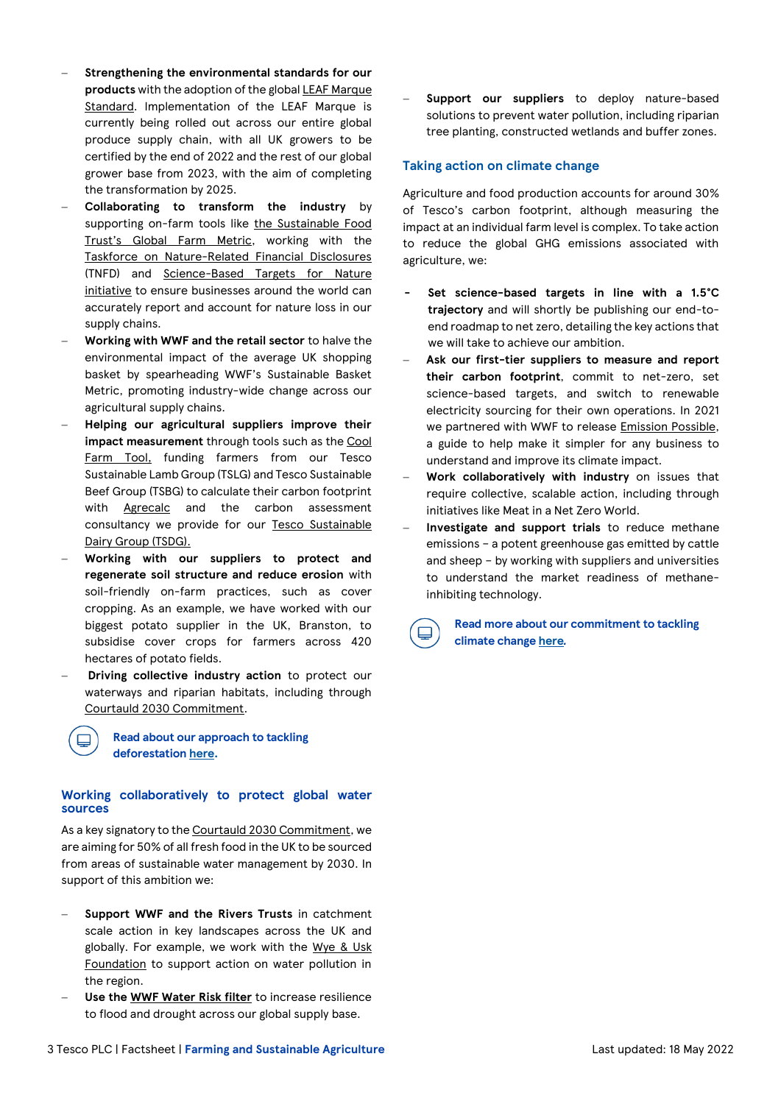- − **Strengthening the environmental standards for our products** with the adoption of the globa[l LEAF Marque](https://www.tescoplc.com/news/2021/tesco-strengthens-environmental-standards-for-its-growers-with-adoption-of-global-leaf-marque-standard/)  [Standard.](https://www.tescoplc.com/news/2021/tesco-strengthens-environmental-standards-for-its-growers-with-adoption-of-global-leaf-marque-standard/) Implementation of the LEAF Marque is currently being rolled out across our entire global produce supply chain, with all UK growers to be certified by the end of 2022 and the rest of our global grower base from 2023, with the aim of completing the transformation by 2025.
- − **Collaborating to transform the industry** by supporting on-farm tools like [the Sustainable Food](https://sustainablefoodtrust.org/key-issues/sustainability-metrics/the-global-farm-metric/)  [Trust's Global Farm Metric](https://sustainablefoodtrust.org/key-issues/sustainability-metrics/the-global-farm-metric/), working with the [Taskforce on Nature-Related Financial Disclosures](https://tnfd.global/) (TNFD) and [Science-Based Targets for Nature](https://sciencebasedtargets.org/about-us/sbtn)  [initiative](https://sciencebasedtargets.org/about-us/sbtn) to ensure businesses around the world can accurately report and account for nature loss in our supply chains.
- − **Working with WWF and the retail sector** to halve the environmental impact of the average UK shopping basket by spearheading WWF's Sustainable Basket Metric, promoting industry-wide change across our agricultural supply chains.
- − **Helping our agricultural suppliers improve their impact measurement** through tools such as th[e Cool](https://coolfarmtool.org/coolfarmtool/)  [Farm Tool,](https://coolfarmtool.org/coolfarmtool/) funding farmers from our Tesco Sustainable Lamb Group (TSLG) and Tesco Sustainable Beef Group (TSBG) to calculate their carbon footprint with **[Agrecalc](https://www.agrecalc.com/)** and the carbon assessment consultancy we provide for our [Tesco Sustainable](https://www.tescoplc.com/sustainability/planet/farming-agriculture/)  [Dairy Group \(TSDG\).](https://www.tescoplc.com/sustainability/planet/farming-agriculture/)
- − **Working with our suppliers to protect and regenerate soil structure and reduce erosion** with soil-friendly on-farm practices, such as cover cropping. As an example, we have worked with our biggest potato supplier in the UK, Branston, to subsidise cover crops for farmers across 420 hectares of potato fields.
- Driving collective industry action to protect our waterways and riparian habitats, including through [Courtauld 2030 Commitment.](https://wrap.org.uk/taking-action/food-drink/initiatives/courtauld-commitment)

**Read about our approach to tackling deforestation [here.](https://www.tescoplc.com/sustainability/taking-action/environment/tackling-deforestation/)**

#### **Working collaboratively to protect global water sources**

As a key signatory to th[e Courtauld 2030 Commitment,](https://wrap.org.uk/taking-action/food-drink/initiatives/courtauld-commitment) we are aiming for 50% of all fresh food in the UK to be sourced from areas of sustainable water management by 2030. In support of this ambition we:

- − **Support WWF and the Rivers Trusts** in catchment scale action in key landscapes across the UK and globally. For example, we work with the Wye & Usk [Foundation](https://www.wyeuskfoundation.org/) to support action on water pollution in the region.
- − **Use the [WWF Water Risk filter](https://waterriskfilter.org/)** to increase resilience to flood and drought across our global supply base.

Support our suppliers to deploy nature-based solutions to prevent water pollution, including riparian tree planting, constructed wetlands and buffer zones.

### **Taking action on climate change**

Agriculture and food production accounts for around 30% of Tesco's carbon footprint, although measuring the impact at an individual farm level is complex. To take action to reduce the global GHG emissions associated with agriculture, we:

- **- Set science-based targets in line with a 1.5°C trajectory** and will shortly be publishing our end-toend roadmap to net zero, detailing the key actions that we will take to achieve our ambition.
- − **Ask our first-tier suppliers to measure and report their carbon footprint**, commit to net-zero, set science-based targets, and switch to renewable electricity sourcing for their own operations. In 2021 we partnered with WWF to release [Emission Possible,](https://www.wwf.org.uk/emission-possible) a guide to help make it simpler for any business to understand and improve its climate impact.
- − **Work collaboratively with industry** on issues that require collective, scalable action, including through initiatives like Meat in a Net Zero World.
- − **Investigate and support trials** to reduce methane emissions – a potent greenhouse gas emitted by cattle and sheep – by working with suppliers and universities to understand the market readiness of methaneinhibiting technology.

**Read more about our commitment to tackling climate change [here](https://www.tescoplc.com/sustainability/planet/climate-change/)***.*

⊟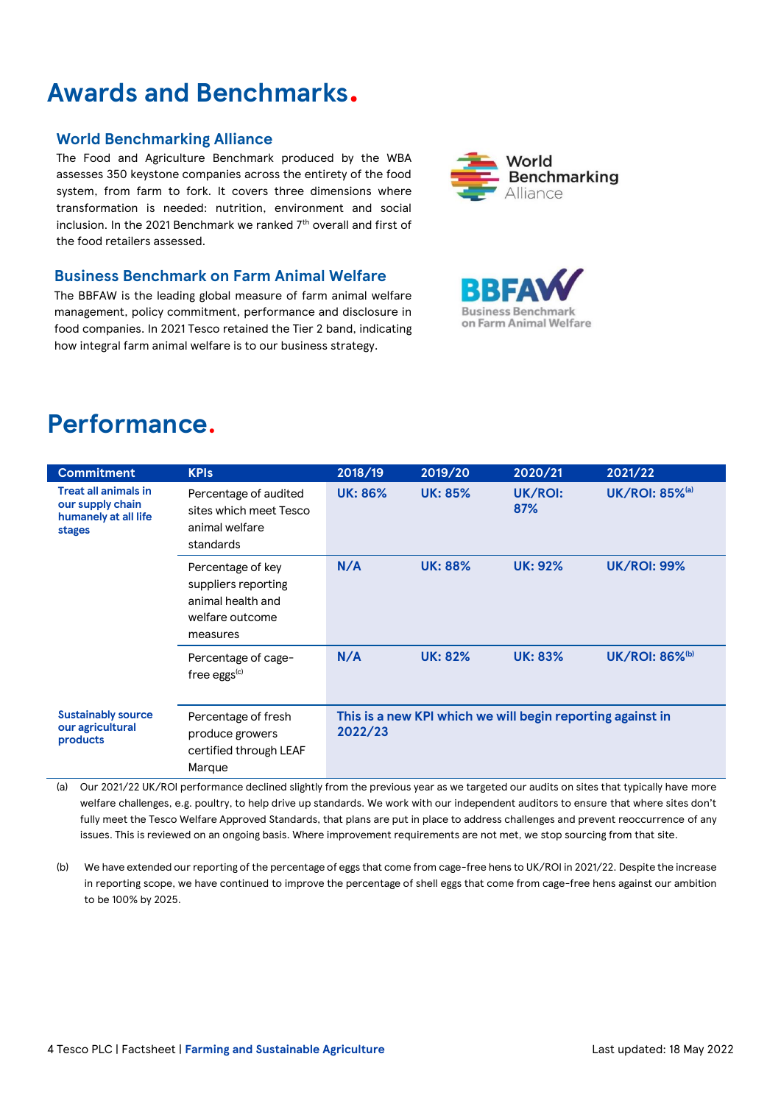# **Awards and Benchmarks.**

# **World Benchmarking Alliance**

The Food and Agriculture Benchmark produced by the WBA assesses 350 keystone companies across the entirety of the food system, from farm to fork. It covers three dimensions where transformation is needed: nutrition, environment and social inclusion. In the 2021 Benchmark we ranked 7<sup>th</sup> overall and first of the food retailers assessed.

### **Business Benchmark on Farm Animal Welfare**

The BBFAW is the leading global measure of farm animal welfare management, policy commitment, performance and disclosure in food companies. In 2021 Tesco retained the Tier 2 band, indicating how integral farm animal welfare is to our business strategy.





# **Performance.**

| <b>Commitment</b>                                                                        | <b>KPIs</b>                                                                                  | 2018/19                                                               | 2019/20        | 2020/21        | 2021/22                           |
|------------------------------------------------------------------------------------------|----------------------------------------------------------------------------------------------|-----------------------------------------------------------------------|----------------|----------------|-----------------------------------|
| <b>Treat all animals in</b><br>our supply chain<br>humanely at all life<br><b>stages</b> | Percentage of audited<br>sites which meet Tesco<br>animal welfare<br>standards               | <b>UK: 86%</b>                                                        | <b>UK: 85%</b> | UK/ROI:<br>87% | <b>UK/ROI: 85%</b> (a)            |
|                                                                                          | Percentage of key<br>suppliers reporting<br>animal health and<br>welfare outcome<br>measures | N/A                                                                   | <b>UK: 88%</b> | <b>UK: 92%</b> | <b>UK/ROI: 99%</b>                |
|                                                                                          | Percentage of cage-<br>free eggs $(c)$                                                       | N/A                                                                   | <b>UK: 82%</b> | <b>UK: 83%</b> | <b>UK/ROI: 86%</b> <sup>(b)</sup> |
| <b>Sustainably source</b><br>our agricultural<br>products                                | Percentage of fresh<br>produce growers<br>certified through LEAF<br>Marque                   | This is a new KPI which we will begin reporting against in<br>2022/23 |                |                |                                   |

(a) Our 2021/22 UK/ROI performance declined slightly from the previous year as we targeted our audits on sites that typically have more welfare challenges, e.g. poultry, to help drive up standards. We work with our independent auditors to ensure that where sites don't fully meet the Tesco Welfare Approved Standards, that plans are put in place to address challenges and prevent reoccurrence of any issues. This is reviewed on an ongoing basis. Where improvement requirements are not met, we stop sourcing from that site.

(b) We have extended our reporting of the percentage of eggs that come from cage-free hens to UK/ROI in 2021/22. Despite the increase in reporting scope, we have continued to improve the percentage of shell eggs that come from cage-free hens against our ambition to be 100% by 2025.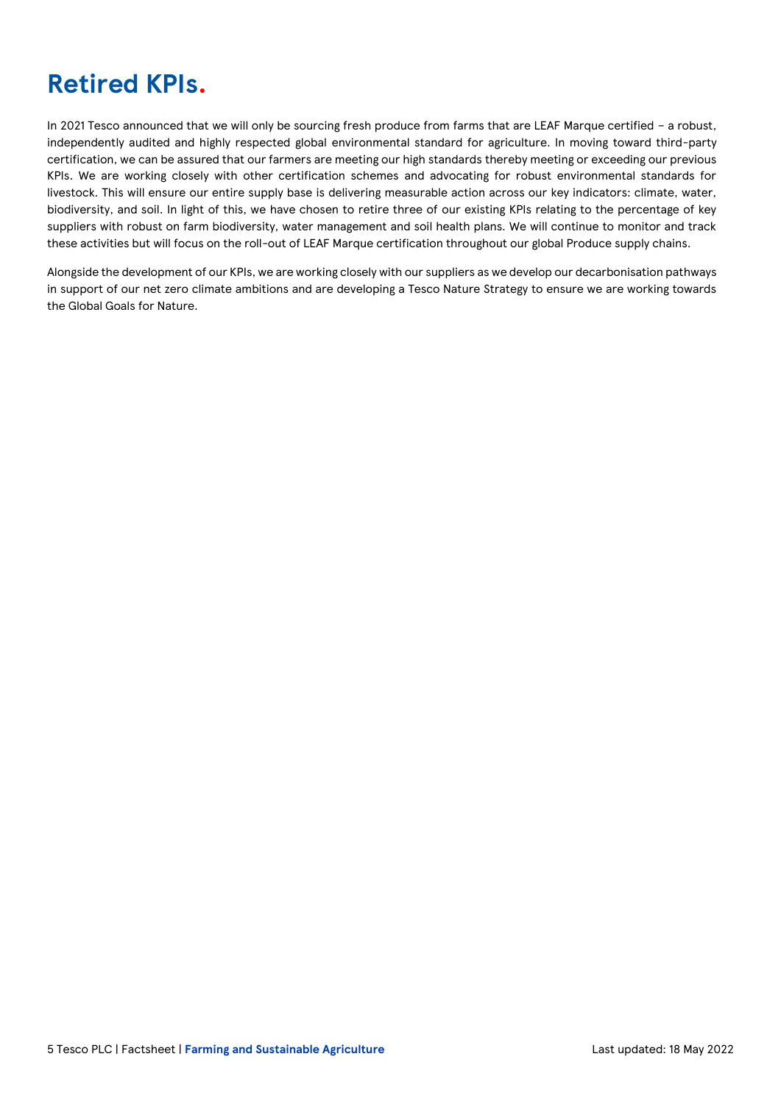# **Retired KPIs.**

In 2021 Tesco announced that we will only be sourcing fresh produce from farms that are LEAF Marque certified – a robust, independently audited and highly respected global environmental standard for agriculture. In moving toward third-party certification, we can be assured that our farmers are meeting our high standards thereby meeting or exceeding our previous KPIs. We are working closely with other certification schemes and advocating for robust environmental standards for livestock. This will ensure our entire supply base is delivering measurable action across our key indicators: climate, water, biodiversity, and soil. In light of this, we have chosen to retire three of our existing KPIs relating to the percentage of key suppliers with robust on farm biodiversity, water management and soil health plans. We will continue to monitor and track these activities but will focus on the roll-out of LEAF Marque certification throughout our global Produce supply chains.

Alongside the development of our KPIs, we are working closely with our suppliers as we develop our decarbonisation pathways in support of our net zero climate ambitions and are developing a Tesco Nature Strategy to ensure we are working towards the Global Goals for Nature.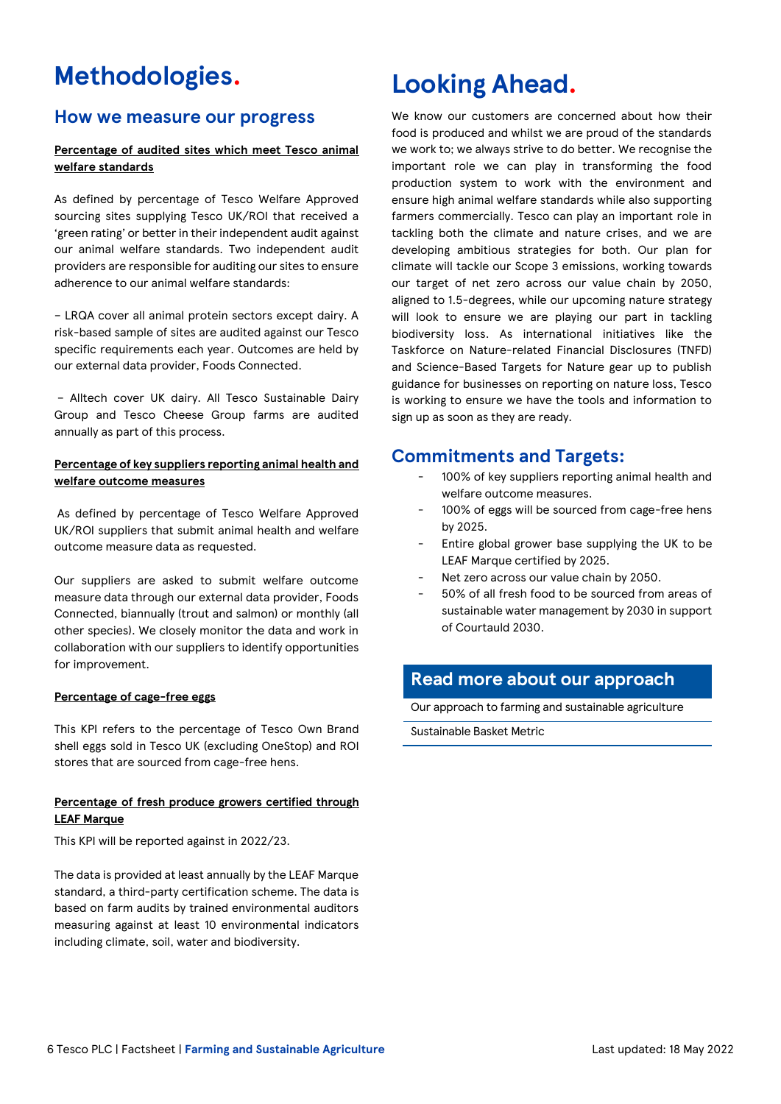# **Methodologies.**

# **How we measure our progress**

### **Percentage of audited sites which meet Tesco animal welfare standards**

As defined by percentage of Tesco Welfare Approved sourcing sites supplying Tesco UK/ROI that received a 'green rating' or better in their independent audit against our animal welfare standards. Two independent audit providers are responsible for auditing our sites to ensure adherence to our animal welfare standards:

– LRQA cover all animal protein sectors except dairy. A risk-based sample of sites are audited against our Tesco specific requirements each year. Outcomes are held by our external data provider, Foods Connected.

– Alltech cover UK dairy. All Tesco Sustainable Dairy Group and Tesco Cheese Group farms are audited annually as part of this process.

### **Percentage of key suppliers reporting animal health and welfare outcome measures**

As defined by percentage of Tesco Welfare Approved UK/ROI suppliers that submit animal health and welfare outcome measure data as requested.

Our suppliers are asked to submit welfare outcome measure data through our external data provider, Foods Connected, biannually (trout and salmon) or monthly (all other species). We closely monitor the data and work in collaboration with our suppliers to identify opportunities for improvement.

#### **Percentage of cage-free eggs**

This KPI refers to the percentage of Tesco Own Brand shell eggs sold in Tesco UK (excluding OneStop) and ROI stores that are sourced from cage-free hens.

### **Percentage of fresh produce growers certified through LEAF Marque**

This KPI will be reported against in 2022/23.

The data is provided at least annually by the LEAF Marque standard, a third-party certification scheme. The data is based on farm audits by trained environmental auditors measuring against at least 10 environmental indicators including climate, soil, water and biodiversity.

# **Looking Ahead.**

We know our customers are concerned about how their food is produced and whilst we are proud of the standards we work to; we always strive to do better. We recognise the important role we can play in transforming the food production system to work with the environment and ensure high animal welfare standards while also supporting farmers commercially. Tesco can play an important role in tackling both the climate and nature crises, and we are developing ambitious strategies for both. Our plan for climate will tackle our Scope 3 emissions, working towards our target of net zero across our value chain by 2050, aligned to 1.5-degrees, while our upcoming nature strategy will look to ensure we are playing our part in tackling biodiversity loss. As international initiatives like the Taskforce on Nature-related Financial Disclosures (TNFD) and Science-Based Targets for Nature gear up to publish guidance for businesses on reporting on nature loss, Tesco is working to ensure we have the tools and information to sign up as soon as they are ready.

# **Commitments and Targets:**

- 100% of key suppliers reporting animal health and welfare outcome measures.
- 100% of eggs will be sourced from cage-free hens by 2025.
- Entire global grower base supplying the UK to be LEAF Marque certified by 2025.
- Net zero across our value chain by 2050.
- 50% of all fresh food to be sourced from areas of sustainable water management by 2030 in support of Courtauld 2030.

# **Read more about our approach**

[Our approach to farming and sustainable](https://www.tescoplc.com/sustainability/planet/farming-agriculture/) agriculture

[Sustainable Basket Metric](https://www.tescoplc.com/sustainability/planet/wwf-partnership/)